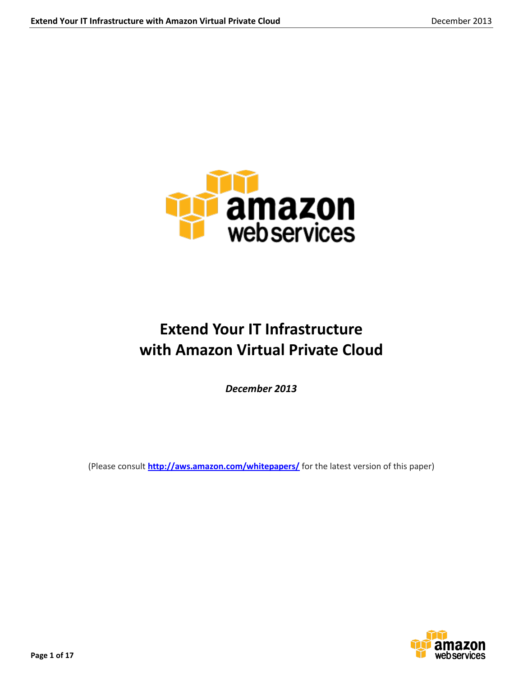

# **Extend Your IT Infrastructure with Amazon Virtual Private Cloud**

*December 2013*

(Please consult **<http://aws.amazon.com/whitepapers/>** for the latest version of this paper)

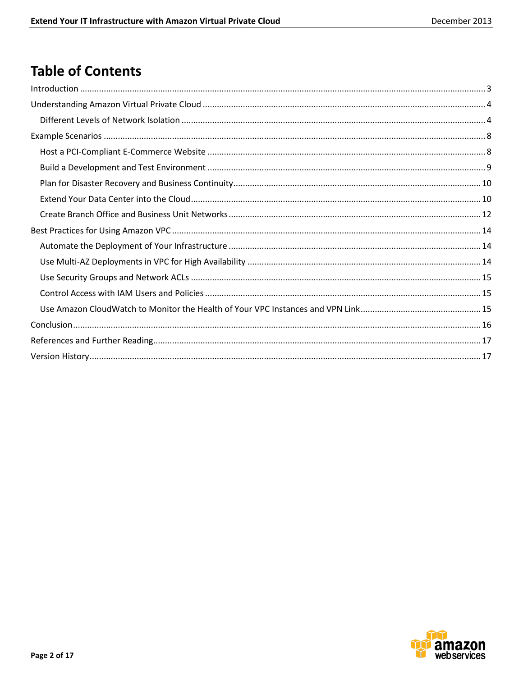## **Table of Contents**

| $\label{eq:1} \mbox{Introduction} \,\, \ldots \,\, \ldots \,\, \ldots \,\, \ldots \,\, \ldots \,\, \ldots \,\, \ldots \,\, \ldots \,\, \ldots \,\, \ldots \,\, \ldots \,\, \ldots \,\, \ldots \,\, \ldots \,\, \ldots \,\, \ldots \,\, \ldots \,\, \ldots \,\, \ldots \,\, \ldots \,\, \ldots \,\, \ldots \,\, \ldots \,\, \ldots \,\, \ldots \,\, \ldots \,\, \ldots \,\, \ldots \,\, \ldots \,\, \ldots \,\, \ldots \,\, \ldots \,\, \ldots \,\, \ldots \,\,$ |  |
|-----------------------------------------------------------------------------------------------------------------------------------------------------------------------------------------------------------------------------------------------------------------------------------------------------------------------------------------------------------------------------------------------------------------------------------------------------------------|--|
|                                                                                                                                                                                                                                                                                                                                                                                                                                                                 |  |
|                                                                                                                                                                                                                                                                                                                                                                                                                                                                 |  |
|                                                                                                                                                                                                                                                                                                                                                                                                                                                                 |  |
|                                                                                                                                                                                                                                                                                                                                                                                                                                                                 |  |
|                                                                                                                                                                                                                                                                                                                                                                                                                                                                 |  |
|                                                                                                                                                                                                                                                                                                                                                                                                                                                                 |  |
|                                                                                                                                                                                                                                                                                                                                                                                                                                                                 |  |
|                                                                                                                                                                                                                                                                                                                                                                                                                                                                 |  |
|                                                                                                                                                                                                                                                                                                                                                                                                                                                                 |  |
|                                                                                                                                                                                                                                                                                                                                                                                                                                                                 |  |
|                                                                                                                                                                                                                                                                                                                                                                                                                                                                 |  |
|                                                                                                                                                                                                                                                                                                                                                                                                                                                                 |  |
|                                                                                                                                                                                                                                                                                                                                                                                                                                                                 |  |
|                                                                                                                                                                                                                                                                                                                                                                                                                                                                 |  |
|                                                                                                                                                                                                                                                                                                                                                                                                                                                                 |  |
|                                                                                                                                                                                                                                                                                                                                                                                                                                                                 |  |
|                                                                                                                                                                                                                                                                                                                                                                                                                                                                 |  |

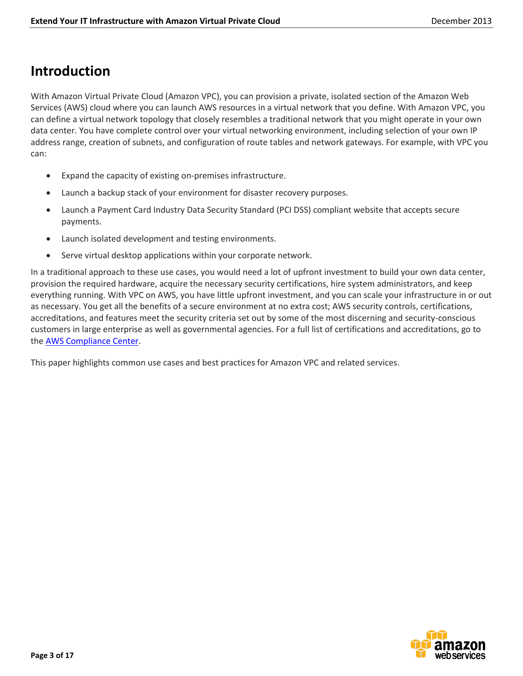## <span id="page-2-0"></span>**Introduction**

With Amazon Virtual Private Cloud (Amazon VPC), you can provision a private, isolated section of the Amazon Web Services (AWS) cloud where you can launch AWS resources in a virtual network that you define. With Amazon VPC, you can define a virtual network topology that closely resembles a traditional network that you might operate in your own data center. You have complete control over your virtual networking environment, including selection of your own IP address range, creation of subnets, and configuration of route tables and network gateways. For example, with VPC you can:

- Expand the capacity of existing on-premises infrastructure.
- Launch a backup stack of your environment for disaster recovery purposes.
- Launch a Payment Card Industry Data Security Standard (PCI DSS) compliant website that accepts secure payments.
- Launch isolated development and testing environments.
- Serve virtual desktop applications within your corporate network.

In a traditional approach to these use cases, you would need a lot of upfront investment to build your own data center, provision the required hardware, acquire the necessary security certifications, hire system administrators, and keep everything running. With VPC on AWS, you have little upfront investment, and you can scale your infrastructure in or out as necessary. You get all the benefits of a secure environment at no extra cost; AWS security controls, certifications, accreditations, and features meet the security criteria set out by some of the most discerning and security-conscious customers in large enterprise as well as governmental agencies. For a full list of certifications and accreditations, go to the [AWS Compliance Center.](http://aws.amazon.com/compliance/)

This paper highlights common use cases and best practices for Amazon VPC and related services.

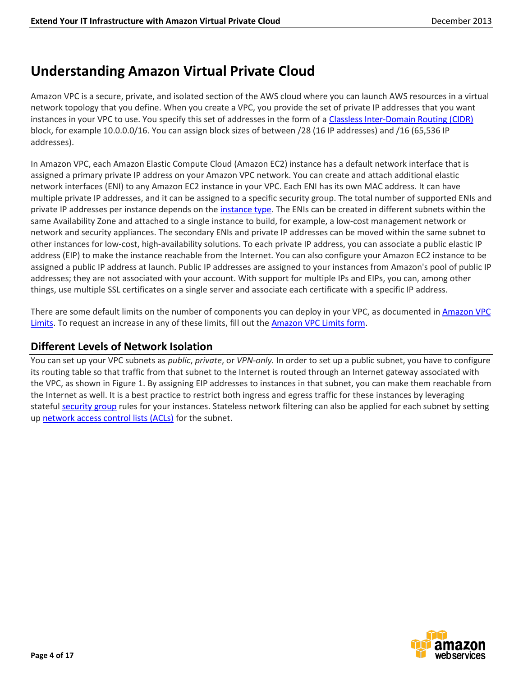## <span id="page-3-0"></span>**Understanding Amazon Virtual Private Cloud**

Amazon VPC is a secure, private, and isolated section of the AWS cloud where you can launch AWS resources in a virtual network topology that you define. When you create a VPC, you provide the set of private IP addresses that you want instances in your VPC to use. You specify this set of addresses in the form of a [Classless Inter-Domain Routing \(CIDR\)](http://en.wikipedia.org/wiki/Classless_Inter-Domain_Routing) block, for example 10.0.0.0/16. You can assign block sizes of between /28 (16 IP addresses) and /16 (65,536 IP addresses).

In Amazon VPC, each Amazon Elastic Compute Cloud (Amazon EC2) instance has a default network interface that is assigned a primary private IP address on your Amazon VPC network. You can create and attach additional elastic network interfaces (ENI) to any Amazon EC2 instance in your VPC. Each ENI has its own MAC address. It can have multiple private IP addresses, and it can be assigned to a specific security group. The total number of supported ENIs and private IP addresses per instance depends on the [instance type.](http://docs.aws.amazon.com/AWSEC2/latest/UserGuide/instance-types.html) The ENIs can be created in different subnets within the same Availability Zone and attached to a single instance to build, for example, a low-cost management network or network and security appliances. The secondary ENIs and private IP addresses can be moved within the same subnet to other instances for low-cost, high-availability solutions. To each private IP address, you can associate a public elastic IP address (EIP) to make the instance reachable from the Internet. You can also configure your Amazon EC2 instance to be assigned a public IP address at launch. Public IP addresses are assigned to your instances from Amazon's pool of public IP addresses; they are not associated with your account. With support for multiple IPs and EIPs, you can, among other things, use multiple SSL certificates on a single server and associate each certificate with a specific IP address.

There are some default limits on the number of components you can deploy in your VPC, as documented in [Amazon VPC](http://docs.aws.amazon.com/AmazonVPC/latest/UserGuide/VPC_Appendix_Limits.html)  [Limits.](http://docs.aws.amazon.com/AmazonVPC/latest/UserGuide/VPC_Appendix_Limits.html) To request an increase in any of these limits, fill out the [Amazon VPC Limits form.](http://aws.amazon.com/contact-us/vpc-request/)

### <span id="page-3-1"></span>**Different Levels of Network Isolation**

You can set up your VPC subnets as *public*, *private*, or *VPN-only.* In order to set up a public subnet, you have to configure its routing table so that traffic from that subnet to the Internet is routed through an Internet gateway associated with the VPC, as shown in Figure 1. By assigning EIP addresses to instances in that subnet, you can make them reachable from the Internet as well. It is a best practice to restrict both ingress and egress traffic for these instances by leveraging statefu[l security group](http://docs.aws.amazon.com/AmazonVPC/latest/UserGuide/VPC_SecurityGroups.html) rules for your instances. Stateless network filtering can also be applied for each subnet by setting up [network access control lists \(ACLs\)](http://docs.aws.amazon.com/AmazonVPC/latest/UserGuide/VPC_ACLs.html) for the subnet.

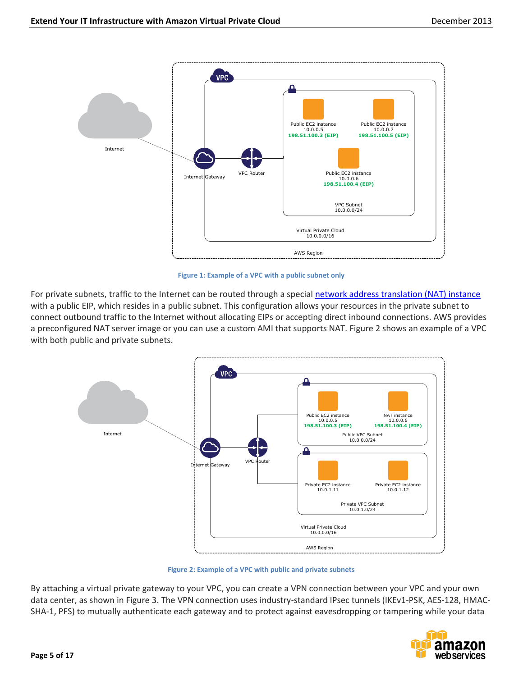

**Figure 1: Example of a VPC with a public subnet only**

For private subnets, traffic to the Internet can be routed through a special [network address translation \(NAT\) instance](http://docs.aws.amazon.com/AmazonVPC/latest/UserGuide/VPC_NAT_Instance.html) with a public EIP, which resides in a public subnet. This configuration allows your resources in the private subnet to connect outbound traffic to the Internet without allocating EIPs or accepting direct inbound connections. AWS provides a preconfigured NAT server image or you can use a custom AMI that supports NAT. Figure 2 shows an example of a VPC with both public and private subnets.



**Figure 2: Example of a VPC with public and private subnets**

By attaching a virtual private gateway to your VPC, you can create a VPN connection between your VPC and your own data center, as shown in [Figure 3.](#page-5-0) The VPN connection uses industry-standard IPsec tunnels (IKEv1-PSK, AES-128, HMAC-SHA-1, PFS) to mutually authenticate each gateway and to protect against eavesdropping or tampering while your data

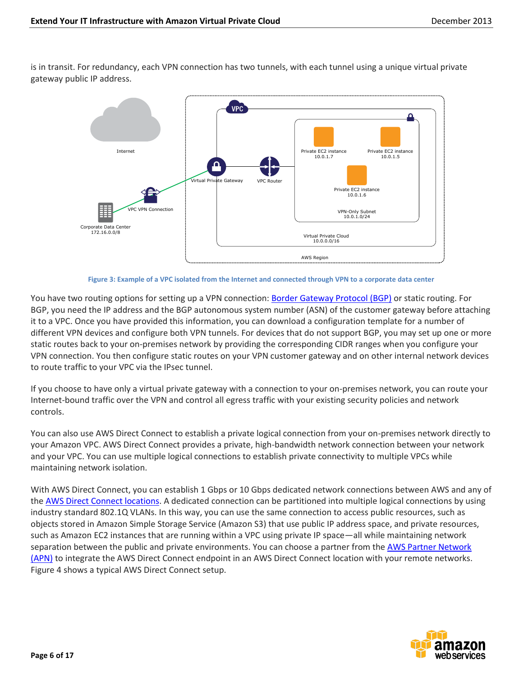is in transit. For redundancy, each VPN connection has two tunnels, with each tunnel using a unique virtual private gateway public IP address.



**Figure 3: Example of a VPC isolated from the Internet and connected through VPN to a corporate data center**

<span id="page-5-0"></span>You have two routing options for setting up a VPN connection: [Border Gateway Protocol \(BGP\)](http://en.wikipedia.org/wiki/Border_Gateway_Protocol) or static routing. For BGP, you need the IP address and the BGP autonomous system number (ASN) of the customer gateway before attaching it to a VPC. Once you have provided this information, you can download a configuration template for a number of different VPN devices and configure both VPN tunnels. For devices that do not support BGP, you may set up one or more static routes back to your on-premises network by providing the corresponding CIDR ranges when you configure your VPN connection. You then configure static routes on your VPN customer gateway and on other internal network devices to route traffic to your VPC via the IPsec tunnel.

If you choose to have only a virtual private gateway with a connection to your on-premises network, you can route your Internet-bound traffic over the VPN and control all egress traffic with your existing security policies and network controls.

You can also use AWS Direct Connect to establish a private logical connection from your on-premises network directly to your Amazon VPC. AWS Direct Connect provides a private, high-bandwidth network connection between your network and your VPC. You can use multiple logical connections to establish private connectivity to multiple VPCs while maintaining network isolation.

With AWS Direct Connect, you can establish 1 Gbps or 10 Gbps dedicated network connections between AWS and any of the [AWS Direct Connect locations.](http://aws.amazon.com/directconnect/#details) A dedicated connection can be partitioned into multiple logical connections by using industry standard 802.1Q VLANs. In this way, you can use the same connection to access public resources, such as objects stored in Amazon Simple Storage Service (Amazon S3) that use public IP address space, and private resources, such as Amazon EC2 instances that are running within a VPC using private IP space—all while maintaining network separation between the public and private environments. You can choose a partner from the [AWS Partner Network](http://aws.amazon.com/directconnect/partners/)  [\(APN\)](http://aws.amazon.com/directconnect/partners/) to integrate the AWS Direct Connect endpoint in an AWS Direct Connect location with your remote networks. [Figure 4](#page-6-0) shows a typical AWS Direct Connect setup.

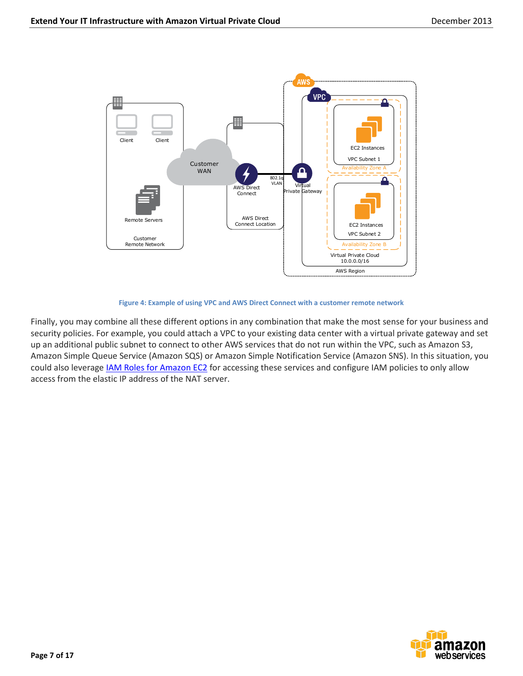

#### **Figure 4: Example of using VPC and AWS Direct Connect with a customer remote network**

<span id="page-6-0"></span>Finally, you may combine all these different options in any combination that make the most sense for your business and security policies. For example, you could attach a VPC to your existing data center with a virtual private gateway and set up an additional public subnet to connect to other AWS services that do not run within the VPC, such as Amazon S3, Amazon Simple Queue Service (Amazon SQS) or Amazon Simple Notification Service (Amazon SNS). In this situation, you could also leverage IAM [Roles for Amazon EC2](http://docs.aws.amazon.com/AWSEC2/latest/UserGuide/iam-roles-for-amazon-ec2.html) for accessing these services and configure IAM policies to only allow access from the elastic IP address of the NAT server.

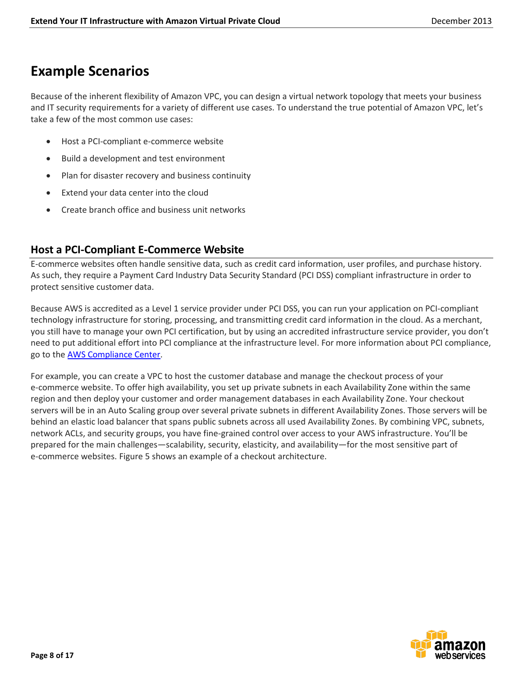### <span id="page-7-0"></span>**Example Scenarios**

Because of the inherent flexibility of Amazon VPC, you can design a virtual network topology that meets your business and IT security requirements for a variety of different use cases. To understand the true potential of Amazon VPC, let's take a few of the most common use cases:

- Host a PCI-compliant e-commerce website
- Build a development and test environment
- Plan for disaster recovery and business continuity
- Extend your data center into the cloud
- Create branch office and business unit networks

### <span id="page-7-1"></span>**Host a PCI-Compliant E-Commerce Website**

E-commerce websites often handle sensitive data, such as credit card information, user profiles, and purchase history. As such, they require a Payment Card Industry Data Security Standard (PCI DSS) compliant infrastructure in order to protect sensitive customer data.

Because AWS is accredited as a Level 1 service provider under PCI DSS, you can run your application on PCI-compliant technology infrastructure for storing, processing, and transmitting credit card information in the cloud. As a merchant, you still have to manage your own PCI certification, but by using an accredited infrastructure service provider, you don't need to put additional effort into PCI compliance at the infrastructure level. For more information about PCI compliance, go to the [AWS Compliance Center.](http://aws.amazon.com/compliance/)

For example, you can create a VPC to host the customer database and manage the checkout process of your e-commerce website. To offer high availability, you set up private subnets in each Availability Zone within the same region and then deploy your customer and order management databases in each Availability Zone. Your checkout servers will be in an Auto Scaling group over several private subnets in different Availability Zones. Those servers will be behind an elastic load balancer that spans public subnets across all used Availability Zones. By combining VPC, subnets, network ACLs, and security groups, you have fine-grained control over access to your AWS infrastructure. You'll be prepared for the main challenges—scalability, security, elasticity, and availability—for the most sensitive part of e-commerce websites. Figure 5 shows an example of a checkout architecture.

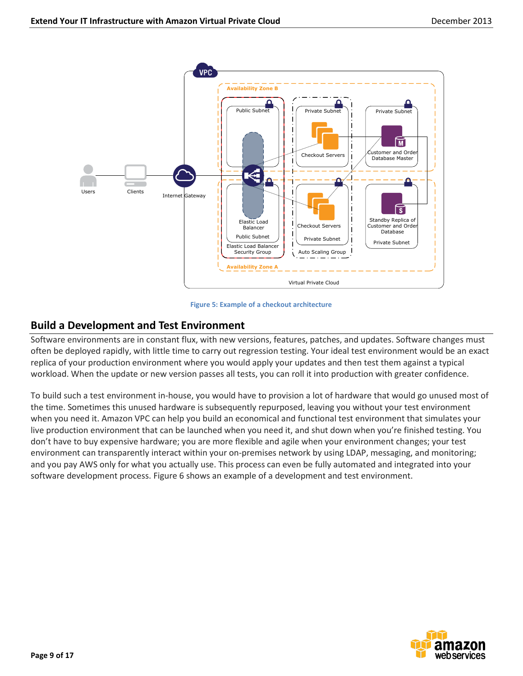

#### **Figure 5: Example of a checkout architecture**

#### <span id="page-8-0"></span>**Build a Development and Test Environment**

Software environments are in constant flux, with new versions, features, patches, and updates. Software changes must often be deployed rapidly, with little time to carry out regression testing. Your ideal test environment would be an exact replica of your production environment where you would apply your updates and then test them against a typical workload. When the update or new version passes all tests, you can roll it into production with greater confidence.

To build such a test environment in-house, you would have to provision a lot of hardware that would go unused most of the time. Sometimes this unused hardware is subsequently repurposed, leaving you without your test environment when you need it. Amazon VPC can help you build an economical and functional test environment that simulates your live production environment that can be launched when you need it, and shut down when you're finished testing. You don't have to buy expensive hardware; you are more flexible and agile when your environment changes; your test environment can transparently interact within your on-premises network by using LDAP, messaging, and monitoring; and you pay AWS only for what you actually use. This process can even be fully automated and integrated into your software development process. Figure 6 shows an example of a development and test environment.

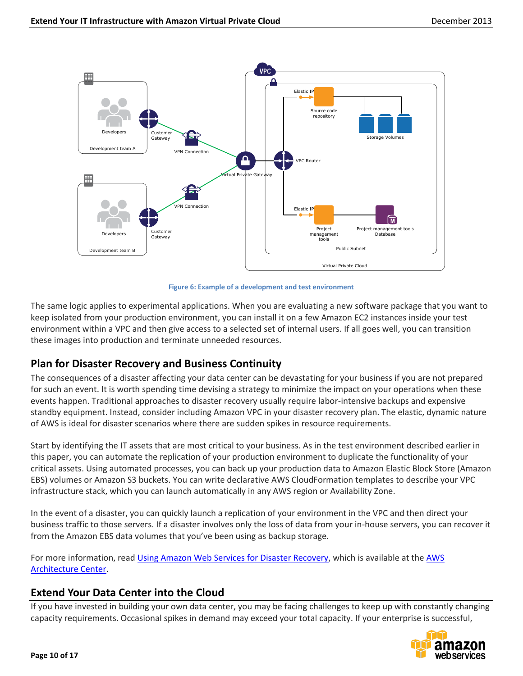

**Figure 6: Example of a development and test environment**

The same logic applies to experimental applications. When you are evaluating a new software package that you want to keep isolated from your production environment, you can install it on a few Amazon EC2 instances inside your test environment within a VPC and then give access to a selected set of internal users. If all goes well, you can transition these images into production and terminate unneeded resources.

### <span id="page-9-0"></span>**Plan for Disaster Recovery and Business Continuity**

The consequences of a disaster affecting your data center can be devastating for your business if you are not prepared for such an event. It is worth spending time devising a strategy to minimize the impact on your operations when these events happen. Traditional approaches to disaster recovery usually require labor-intensive backups and expensive standby equipment. Instead, consider including Amazon VPC in your disaster recovery plan. The elastic, dynamic nature of AWS is ideal for disaster scenarios where there are sudden spikes in resource requirements.

Start by identifying the IT assets that are most critical to your business. As in the test environment described earlier in this paper, you can automate the replication of your production environment to duplicate the functionality of your critical assets. Using automated processes, you can back up your production data to Amazon Elastic Block Store (Amazon EBS) volumes or Amazon S3 buckets. You can write declarative AWS CloudFormation templates to describe your VPC infrastructure stack, which you can launch automatically in any AWS region or Availability Zone.

In the event of a disaster, you can quickly launch a replication of your environment in the VPC and then direct your business traffic to those servers. If a disaster involves only the loss of data from your in-house servers, you can recover it from the Amazon EBS data volumes that you've been using as backup storage.

For more information, read [Using Amazon Web Services for Disaster Recovery,](http://media.amazonwebservices.com/AWS_Disaster_Recovery.pdf) which is available at the AWS [Architecture Center.](http://aws.amazon.com/architecture/)

### <span id="page-9-1"></span>**Extend Your Data Center into the Cloud**

If you have invested in building your own data center, you may be facing challenges to keep up with constantly changing capacity requirements. Occasional spikes in demand may exceed your total capacity. If your enterprise is successful,

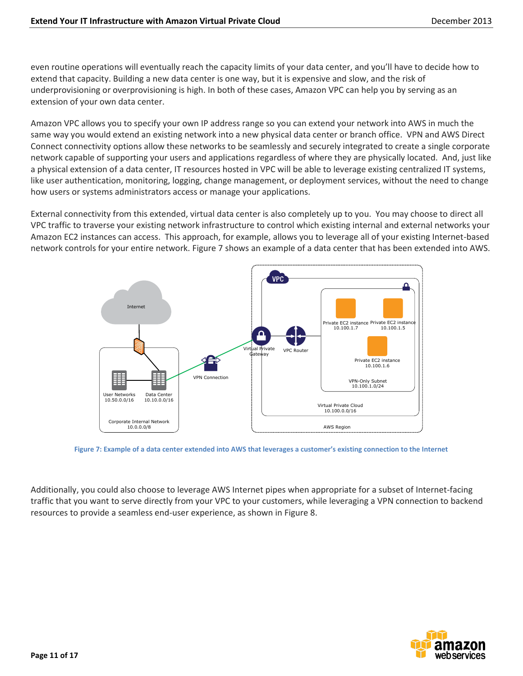even routine operations will eventually reach the capacity limits of your data center, and you'll have to decide how to extend that capacity. Building a new data center is one way, but it is expensive and slow, and the risk of underprovisioning or overprovisioning is high. In both of these cases, Amazon VPC can help you by serving as an extension of your own data center.

Amazon VPC allows you to specify your own IP address range so you can extend your network into AWS in much the same way you would extend an existing network into a new physical data center or branch office. VPN and AWS Direct Connect connectivity options allow these networks to be seamlessly and securely integrated to create a single corporate network capable of supporting your users and applications regardless of where they are physically located. And, just like a physical extension of a data center, IT resources hosted in VPC will be able to leverage existing centralized IT systems, like user authentication, monitoring, logging, change management, or deployment services, without the need to change how users or systems administrators access or manage your applications.

External connectivity from this extended, virtual data center is also completely up to you. You may choose to direct all VPC traffic to traverse your existing network infrastructure to control which existing internal and external networks your Amazon EC2 instances can access. This approach, for example, allows you to leverage all of your existing Internet-based network controls for your entire network. Figure 7 shows an example of a data center that has been extended into AWS.



**Figure 7: Example of a data center extended into AWS that leverages a customer's existing connection to the Internet**

Additionally, you could also choose to leverage AWS Internet pipes when appropriate for a subset of Internet-facing traffic that you want to serve directly from your VPC to your customers, while leveraging a VPN connection to backend resources to provide a seamless end-user experience, as shown in Figure 8.

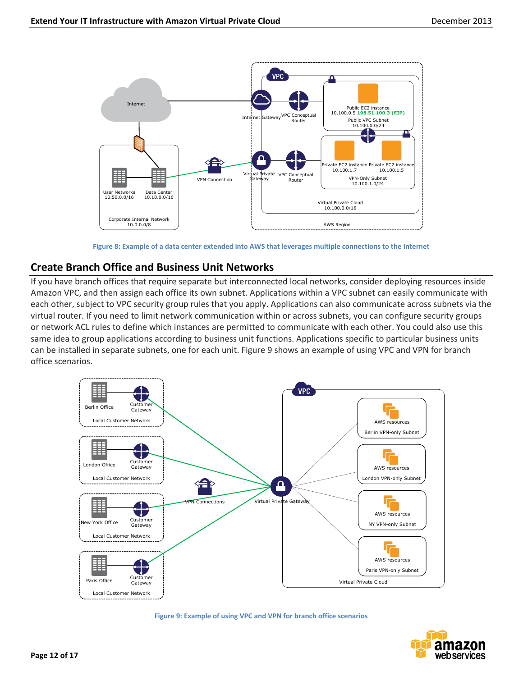

**Figure 8: Example of a data center extended into AWS that leverages multiple connections to the Internet**

### <span id="page-11-0"></span>**Create Branch Office and Business Unit Networks**

If you have branch offices that require separate but interconnected local networks, consider deploying resources inside Amazon VPC, and then assign each office its own subnet. Applications within a VPC subnet can easily communicate with each other, subject to VPC security group rules that you apply. Applications can also communicate across subnets via the virtual router. If you need to limit network communication within or across subnets, you can configure security groups or network ACL rules to define which instances are permitted to communicate with each other. You could also use this same idea to group applications according to business unit functions. Applications specific to particular business units can be installed in separate subnets, one for each unit. Figure 9 shows an example of using VPC and VPN for branch office scenarios.



**Figure 9: Example of using VPC and VPN for branch office scenarios**

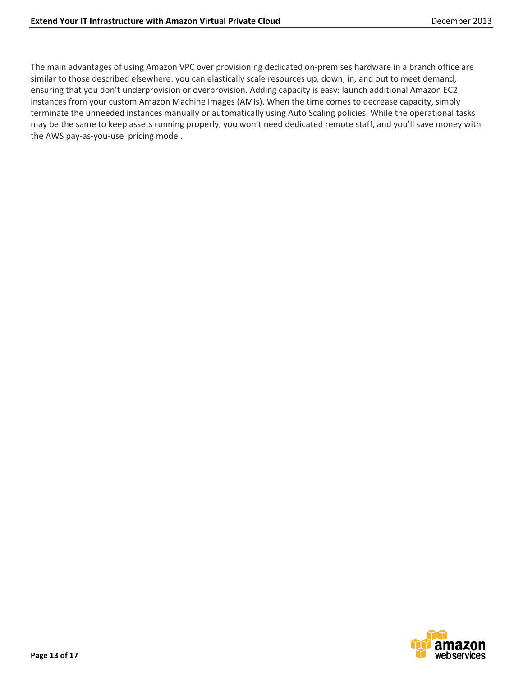The main advantages of using Amazon VPC over provisioning dedicated on-premises hardware in a branch office are similar to those described elsewhere: you can elastically scale resources up, down, in, and out to meet demand, ensuring that you don't underprovision or overprovision. Adding capacity is easy: launch additional Amazon EC2 instances from your custom Amazon Machine Images (AMIs). When the time comes to decrease capacity, simply terminate the unneeded instances manually or automatically using Auto Scaling policies. While the operational tasks may be the same to keep assets running properly, you won't need dedicated remote staff, and you'll save money with the AWS pay-as-you-use pricing model.

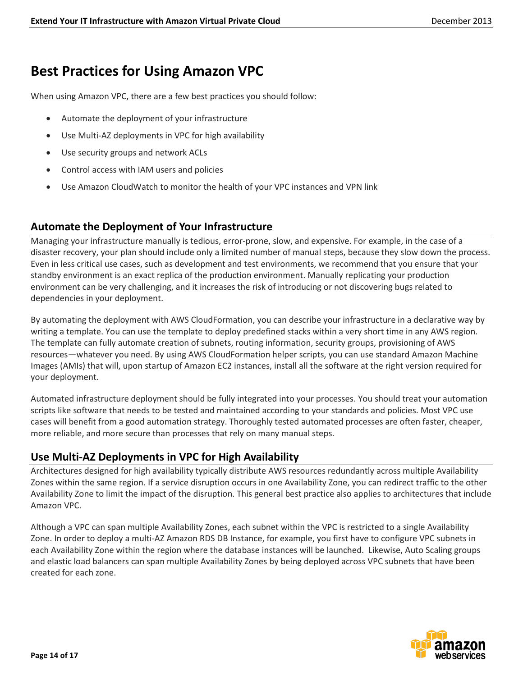## <span id="page-13-0"></span>**Best Practices for Using Amazon VPC**

When using Amazon VPC, there are a few best practices you should follow:

- Automate the deployment of your infrastructure
- Use Multi-AZ deployments in VPC for high availability
- Use security groups and network ACLs
- Control access with IAM users and policies
- Use Amazon CloudWatch to monitor the health of your VPC instances and VPN link

### <span id="page-13-1"></span>**Automate the Deployment of Your Infrastructure**

Managing your infrastructure manually is tedious, error-prone, slow, and expensive. For example, in the case of a disaster recovery, your plan should include only a limited number of manual steps, because they slow down the process. Even in less critical use cases, such as development and test environments, we recommend that you ensure that your standby environment is an exact replica of the production environment. Manually replicating your production environment can be very challenging, and it increases the risk of introducing or not discovering bugs related to dependencies in your deployment.

By automating the deployment with AWS CloudFormation, you can describe your infrastructure in a declarative way by writing a template. You can use the template to deploy predefined stacks within a very short time in any AWS region. The template can fully automate creation of subnets, routing information, security groups, provisioning of AWS resources—whatever you need. By using AWS CloudFormation helper scripts, you can use standard Amazon Machine Images (AMIs) that will, upon startup of Amazon EC2 instances, install all the software at the right version required for your deployment.

Automated infrastructure deployment should be fully integrated into your processes. You should treat your automation scripts like software that needs to be tested and maintained according to your standards and policies. Most VPC use cases will benefit from a good automation strategy. Thoroughly tested automated processes are often faster, cheaper, more reliable, and more secure than processes that rely on many manual steps.

### <span id="page-13-2"></span>**Use Multi-AZ Deployments in VPC for High Availability**

Architectures designed for high availability typically distribute AWS resources redundantly across multiple Availability Zones within the same region. If a service disruption occurs in one Availability Zone, you can redirect traffic to the other Availability Zone to limit the impact of the disruption. This general best practice also applies to architectures that include Amazon VPC.

Although a VPC can span multiple Availability Zones, each subnet within the VPC is restricted to a single Availability Zone. In order to deploy a multi-AZ Amazon RDS DB Instance, for example, you first have to configure VPC subnets in each Availability Zone within the region where the database instances will be launched. Likewise, Auto Scaling groups and elastic load balancers can span multiple Availability Zones by being deployed across VPC subnets that have been created for each zone.

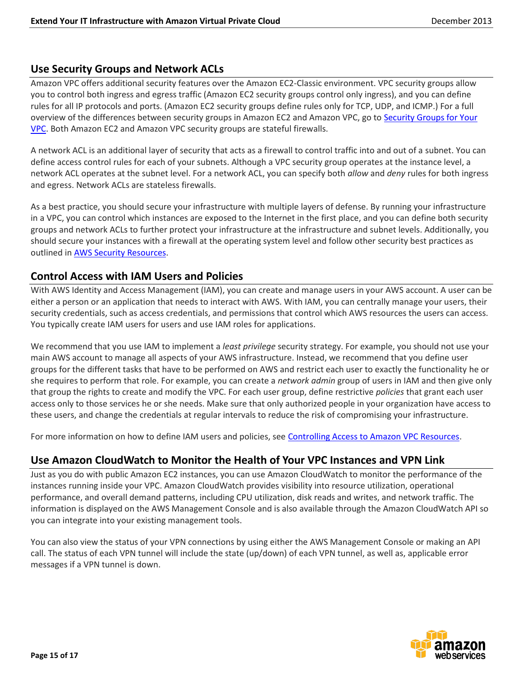### <span id="page-14-0"></span>**Use Security Groups and Network ACLs**

Amazon VPC offers additional security features over the Amazon EC2-Classic environment. VPC security groups allow you to control both ingress and egress traffic (Amazon EC2 security groups control only ingress), and you can define rules for all IP protocols and ports. (Amazon EC2 security groups define rules only for TCP, UDP, and ICMP.) For a full overview of the differences between security groups in Amazon EC2 and Amazon VPC, go to [Security Groups for Your](http://docs.aws.amazon.com/AmazonVPC/latest/UserGuide/VPC_SecurityGroups.html)  [VPC.](http://docs.aws.amazon.com/AmazonVPC/latest/UserGuide/VPC_SecurityGroups.html) Both Amazon EC2 and Amazon VPC security groups are stateful firewalls.

A network ACL is an additional layer of security that acts as a firewall to control traffic into and out of a subnet. You can define access control rules for each of your subnets. Although a VPC security group operates at the instance level, a network ACL operates at the subnet level. For a network ACL, you can specify both *allow* and *deny* rules for both ingress and egress. Network ACLs are stateless firewalls.

As a best practice, you should secure your infrastructure with multiple layers of defense. By running your infrastructure in a VPC, you can control which instances are exposed to the Internet in the first place, and you can define both security groups and network ACLs to further protect your infrastructure at the infrastructure and subnet levels. Additionally, you should secure your instances with a firewall at the operating system level and follow other security best practices as outlined in **AWS Security Resources**.

### <span id="page-14-1"></span>**Control Access with IAM Users and Policies**

With AWS Identity and Access Management (IAM), you can create and manage users in your AWS account. A user can be either a person or an application that needs to interact with AWS. With IAM, you can centrally manage your users, their security credentials, such as access credentials, and permissions that control which AWS resources the users can access. You typically create IAM users for users and use IAM roles for applications.

We recommend that you use IAM to implement a *least privilege* security strategy. For example, you should not use your main AWS account to manage all aspects of your AWS infrastructure. Instead, we recommend that you define user groups for the different tasks that have to be performed on AWS and restrict each user to exactly the functionality he or she requires to perform that role. For example, you can create a *network admin* group of users in IAM and then give only that group the rights to create and modify the VPC. For each user group, define restrictive *policies* that grant each user access only to those services he or she needs. Make sure that only authorized people in your organization have access to these users, and change the credentials at regular intervals to reduce the risk of compromising your infrastructure.

For more information on how to define IAM users and policies, see [Controlling Access to Amazon VPC Resources.](http://docs.aws.amazon.com/AmazonVPC/latest/UserGuide/VPC_IAM.html)

### <span id="page-14-2"></span>**Use Amazon CloudWatch to Monitor the Health of Your VPC Instances and VPN Link**

Just as you do with public Amazon EC2 instances, you can use Amazon CloudWatch to monitor the performance of the instances running inside your VPC. Amazon CloudWatch provides visibility into resource utilization, operational performance, and overall demand patterns, including CPU utilization, disk reads and writes, and network traffic. The information is displayed on the AWS Management Console and is also available through the Amazon CloudWatch API so you can integrate into your existing management tools.

You can also view the status of your VPN connections by using either the AWS Management Console or making an API call. The status of each VPN tunnel will include the state (up/down) of each VPN tunnel, as well as, applicable error messages if a VPN tunnel is down.

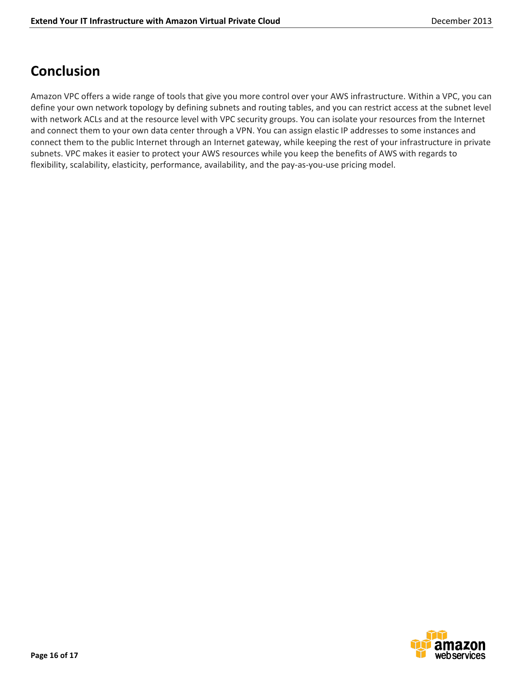## <span id="page-15-0"></span>**Conclusion**

Amazon VPC offers a wide range of tools that give you more control over your AWS infrastructure. Within a VPC, you can define your own network topology by defining subnets and routing tables, and you can restrict access at the subnet level with network ACLs and at the resource level with VPC security groups. You can isolate your resources from the Internet and connect them to your own data center through a VPN. You can assign elastic IP addresses to some instances and connect them to the public Internet through an Internet gateway, while keeping the rest of your infrastructure in private subnets. VPC makes it easier to protect your AWS resources while you keep the benefits of AWS with regards to flexibility, scalability, elasticity, performance, availability, and the pay-as-you-use pricing model.